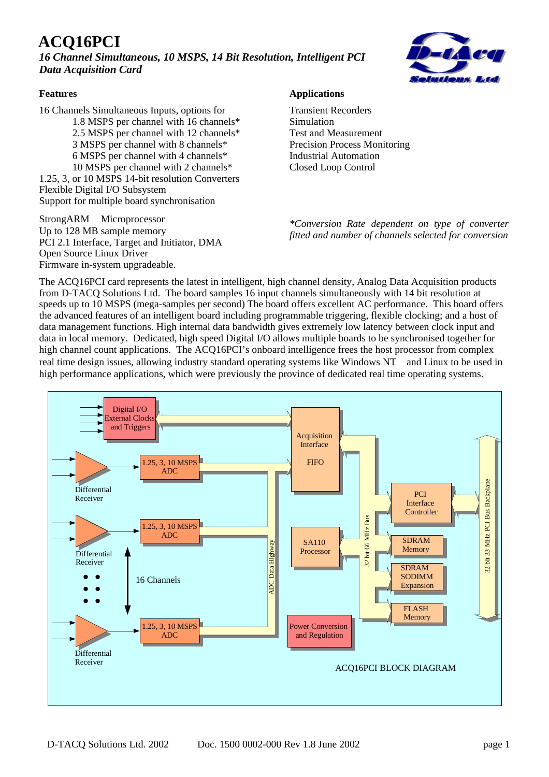# **ACQ16PCI**

*16 Channel Simultaneous, 10 MSPS, 14 Bit Resolution, Intelligent PCI Data Acquisition Card*



#### **Features**

16 Channels Simultaneous Inputs, options for 1.8 MSPS per channel with 16 channels\* 2.5 MSPS per channel with 12 channels\* 3 MSPS per channel with 8 channels\* 6 MSPS per channel with 4 channels\* 10 MSPS per channel with 2 channels\* 1.25, 3, or 10 MSPS 14-bit resolution Converters Flexible Digital I/O Subsystem Support for multiple board synchronisation

StrongARM™ Microprocessor Up to 128 MB sample memory PCI 2.1 Interface, Target and Initiator, DMA Open Source Linux Driver Firmware in-system upgradeable.

#### **Applications**

Transient Recorders Simulation Test and Measurement Precision Process Monitoring Industrial Automation Closed Loop Control

*\*Conversion Rate dependent on type of converter fitted and number of channels selected for conversion*

The ACQ16PCI card represents the latest in intelligent, high channel density, Analog Data Acquisition products from D-TACQ Solutions Ltd. The board samples 16 input channels simultaneously with 14 bit resolution at speeds up to 10 MSPS (mega-samples per second) The board offers excellent AC performance. This board offers the advanced features of an intelligent board including programmable triggering, flexible clocking; and a host of data management functions. High internal data bandwidth gives extremely low latency between clock input and data in local memory. Dedicated, high speed Digital I/O allows multiple boards to be synchronised together for high channel count applications. The ACQ16PCI's onboard intelligence frees the host processor from complex real time design issues, allowing industry standard operating systems like Windows  $NT^{TM}$  and Linux to be used in high performance applications, which were previously the province of dedicated real time operating systems.